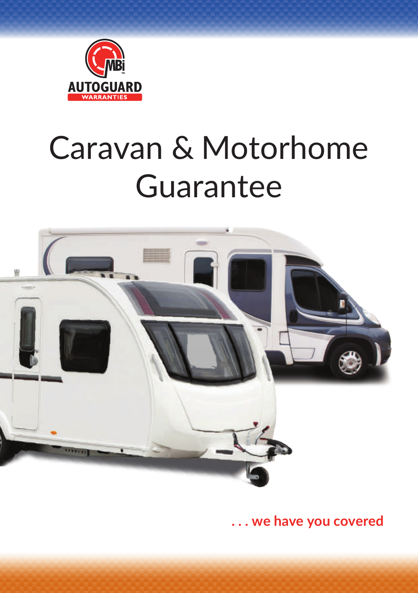

# Caravan & Motorhome Guarantee



**. . . we have you covered**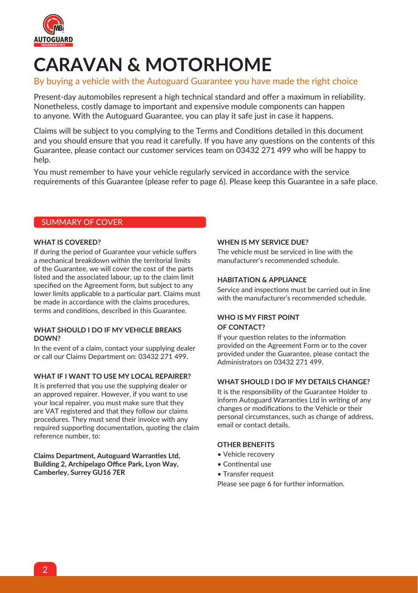

## **CARAVAN & MOTORHOME**

#### By buying a vehicle with the Autoguard Guarantee you have made the right choice

Present-day automobiles represent a high technical standard and offer a maximum in reliability. Nonetheless, costly damage to important and expensive module components can happen to anyone. With the Autoguard Guarantee, you can play it safe just in case it happens.

Claims will be subject to you complying to the Terms and Conditions detailed in this document and you should ensure that you read it carefully. If you have any questions on the contents of this Guarantee, please contact our customer services team on 03432 271 499 who will be happy to help.

You must remember to have your vehicle regularly serviced in accordance with the service requirements of this Guarantee (please refer to page 6). Please keep this Guarantee in a safe place.

#### SUMMARY OF COVER

#### **WHAT IS COVERED?**

If during the period of Guarantee your vehicle suffers a mechanical breakdown within the territorial limits of the Guarantee, we will cover the cost of the parts listed and the associated labour, up to the claim limit specified on the Agreement form, but subject to any lower limits applicable to a particular part. Claims must be made in accordance with the claims procedures, terms and conditions, described in this Guarantee.

#### **WHAT SHOULD I DO IF MY VEHICLE BREAKS DOWN?**

In the event of a claim, contact your supplying dealer or call our Claims Department on: 03432 271 499.

#### **WHAT IF I WANT TO USE MY LOCAL REPAIRER?**

It is preferred that you use the supplying dealer or an approved repairer. However, if you want to use your local repairer, you must make sure that they are VAT registered and that they follow our claims procedures. They must send their invoice with any required supporting documentation, quoting the claim reference number, to:

**Claims Department, Autoguard Warranties Ltd, Building 2, Archipelago Office Park, Lyon Way, Camberley, Surrey GU16 7ER**

#### **WHEN IS MY SERVICE DUE?**

The vehicle must be serviced in line with the manufacturer's recommended schedule.

#### **HABITATION & APPLIANCE**

Service and inspections must be carried out in line with the manufacturer's recommended schedule.

#### **WHO IS MY FIRST POINT OF CONTACT?**

If your question relates to the information provided on the Agreement Form or to the cover provided under the Guarantee, please contact the Administrators on 03432 271 499.

#### **WHAT SHOULD I DO IF MY DETAILS CHANGE?**

It is the responsibility of the Guarantee Holder to inform Autoguard Warranties Ltd in writing of any changes or modifications to the Vehicle or their personal circumstances, such as change of address, email or contact details.

#### **OTHER BENEFITS**

- Vehicle recovery
- Continental use
- Transfer request

Please see page 6 for further information.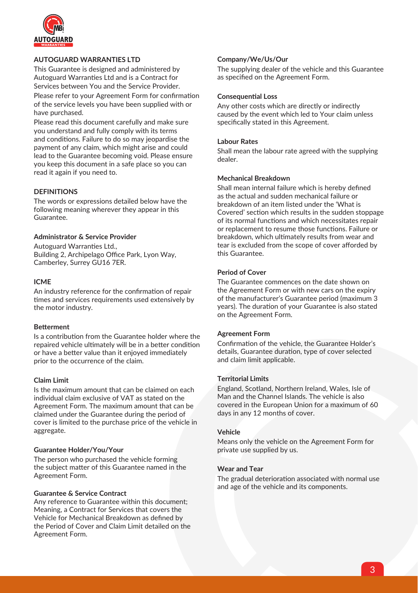

#### **AUTOGUARD WARRANTIES LTD**

This Guarantee is designed and administered by Autoguard Warranties Ltd and is a Contract for Services between You and the Service Provider.

Please refer to your Agreement Form for confirmation of the service levels you have been supplied with or have purchased.

Please read this document carefully and make sure you understand and fully comply with its terms and conditions. Failure to do so may jeopardise the payment of any claim, which might arise and could lead to the Guarantee becoming void. Please ensure you keep this document in a safe place so you can read it again if you need to.

#### **DEFINITIONS**

The words or expressions detailed below have the following meaning wherever they appear in this Guarantee.

#### **Administrator & Service Provider**

Autoguard Warranties Ltd., Building 2, Archipelago Office Park, Lyon Way, Camberley, Surrey GU16 7ER.

#### **ICME**

An industry reference for the confirmation of repair times and services requirements used extensively by the motor industry.

#### **Betterment**

Is a contribution from the Guarantee holder where the repaired vehicle ultimately will be in a better condition or have a better value than it enjoyed immediately prior to the occurrence of the claim.

#### **Claim Limit**

Is the maximum amount that can be claimed on each individual claim exclusive of VAT as stated on the Agreement Form. The maximum amount that can be claimed under the Guarantee during the period of cover is limited to the purchase price of the vehicle in aggregate.

#### **Guarantee Holder/You/Your**

The person who purchased the vehicle forming the subject matter of this Guarantee named in the Agreement Form.

#### **Guarantee & Service Contract**

Any reference to Guarantee within this document; Meaning, a Contract for Services that covers the Vehicle for Mechanical Breakdown as defined by the Period of Cover and Claim Limit detailed on the Agreement Form.

#### **Company/We/Us/Our**

The supplying dealer of the vehicle and this Guarantee as specified on the Agreement Form.

#### **Consequential Loss**

Any other costs which are directly or indirectly caused by the event which led to Your claim unless specifically stated in this Agreement.

#### **Labour Rates**

Shall mean the labour rate agreed with the supplying dealer.

#### **Mechanical Breakdown**

Shall mean internal failure which is hereby defined as the actual and sudden mechanical failure or breakdown of an item listed under the 'What is Covered' section which results in the sudden stoppage of its normal functions and which necessitates repair or replacement to resume those functions. Failure or breakdown, which ultimately results from wear and tear is excluded from the scope of cover afforded by this Guarantee.

#### **Period of Cover**

The Guarantee commences on the date shown on the Agreement Form or with new cars on the expiry of the manufacturer's Guarantee period (maximum 3 years). The duration of your Guarantee is also stated on the Agreement Form.

#### **Agreement Form**

Confirmation of the vehicle, the Guarantee Holder's details, Guarantee duration, type of cover selected and claim limit applicable.

#### **Territorial Limits**

England, Scotland, Northern Ireland, Wales, Isle of Man and the Channel Islands. The vehicle is also covered in the European Union for a maximum of 60 days in any 12 months of cover.

#### **Vehicle**

Means only the vehicle on the Agreement Form for private use supplied by us.

#### **Wear and Tear**

The gradual deterioration associated with normal use and age of the vehicle and its components.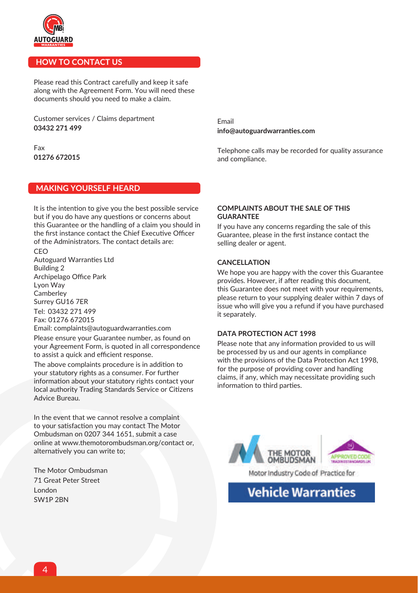

#### **HOW TO CONTACT US**

Please read this Contract carefully and keep it safe along with the Agreement Form. You will need these documents should you need to make a claim.

Customer services / Claims department **03432 271 499**

Fax **01276 672015**

#### **MAKING YOURSELF HEARD**

It is the intention to give you the best possible service but if you do have any questions or concerns about this Guarantee or the handling of a claim you should in the first instance contact the Chief Executive Officer of the Administrators. The contact details are:

C<sub>EO</sub> Autoguard Warranties Ltd Building 2 Archipelago Office Park Lyon Way Camberley Surrey GU16 7ER Tel: 03432 271 499 Fax: 01276 672015

Email: complaints@autoguardwarranties.com Please ensure your Guarantee number, as found on your Agreement Form, is quoted in all correspondence to assist a quick and efficient response.

The above complaints procedure is in addition to your statutory rights as a consumer. For further information about your statutory rights contact your local authority Trading Standards Service or Citizens Advice Bureau.

In the event that we cannot resolve a complaint to your satisfaction you may contact The Motor Ombudsman on 0207 344 1651, submit a case online at www.themotorombudsman.org/contact or, alternatively you can write to;

The Motor Ombudsman 71 Great Peter Street London SW1P 2BN

Email **info@autoguardwarranties.com**

Telephone calls may be recorded for quality assurance and compliance.

#### **COMPLAINTS ABOUT THE SALE OF THIS GUARANTEE**

If you have any concerns regarding the sale of this Guarantee, please in the first instance contact the selling dealer or agent.

#### **CANCELLATION**

We hope you are happy with the cover this Guarantee provides. However, if after reading this document, this Guarantee does not meet with your requirements, please return to your supplying dealer within 7 days of issue who will give you a refund if you have purchased it separately.

#### **DATA PROTECTION ACT 1998**

Please note that any information provided to us will be processed by us and our agents in compliance with the provisions of the Data Protection Act 1998, for the purpose of providing cover and handling claims, if any, which may necessitate providing such information to third parties.



**Vehicle Warranties**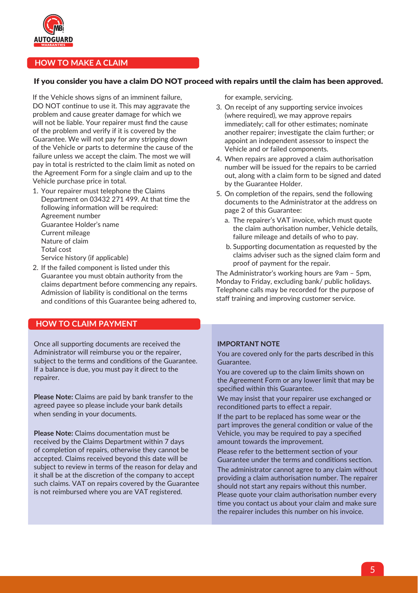

#### **HOW TO MAKE A CLAIM**

#### If you consider you have a claim DO NOT proceed with repairs until the claim has been approved.

If the Vehicle shows signs of an imminent failure, DO NOT continue to use it. This may aggravate the problem and cause greater damage for which we will not be liable. Your repairer must find the cause of the problem and verify if it is covered by the Guarantee. We will not pay for any stripping down of the Vehicle or parts to determine the cause of the failure unless we accept the claim. The most we will pay in total is restricted to the claim limit as noted on the Agreement Form for a single claim and up to the Vehicle purchase price in total.

- 1. Your repairer must telephone the Claims Department on 03432 271 499. At that time the following information will be required: Agreement number Guarantee Holder's name Current mileage Nature of claim Total cost Service history (if applicable)
- 2. If the failed component is listed under this Guarantee you must obtain authority from the claims department before commencing any repairs. Admission of liability is conditional on the terms and conditions of this Guarantee being adhered to,

#### **HOW TO CLAIM PAYMENT**

Once all supporting documents are received the Administrator will reimburse you or the repairer, subject to the terms and conditions of the Guarantee. If a balance is due, you must pay it direct to the repairer.

**Please Note:** Claims are paid by bank transfer to the agreed payee so please include your bank details when sending in your documents.

**Please Note:** Claims documentation must be received by the Claims Department within 7 days of completion of repairs, otherwise they cannot be accepted. Claims received beyond this date will be subject to review in terms of the reason for delay and it shall be at the discretion of the company to accept such claims. VAT on repairs covered by the Guarantee is not reimbursed where you are VAT registered.

for example, servicing.

- 3. On receipt of any supporting service invoices (where required), we may approve repairs immediately; call for other estimates; nominate another repairer; investigate the claim further; or appoint an independent assessor to inspect the Vehicle and or failed components.
- 4. When repairs are approved a claim authorisation number will be issued for the repairs to be carried out, along with a claim form to be signed and dated by the Guarantee Holder.
- 5. On completion of the repairs, send the following documents to the Administrator at the address on page 2 of this Guarantee:
	- a. The repairer's VAT invoice, which must quote the claim authorisation number, Vehicle details, failure mileage and details of who to pay.
	- b. Supporting documentation as requested by the claims adviser such as the signed claim form and proof of payment for the repair.

The Administrator's working hours are 9am – 5pm, Monday to Friday, excluding bank/ public holidays. Telephone calls may be recorded for the purpose of staff training and improving customer service.

#### **IMPORTANT NOTE**

You are covered only for the parts described in this Guarantee.

You are covered up to the claim limits shown on the Agreement Form or any lower limit that may be specified within this Guarantee.

We may insist that your repairer use exchanged or reconditioned parts to effect a repair.

If the part to be replaced has some wear or the part improves the general condition or value of the Vehicle, you may be required to pay a specified amount towards the improvement.

Please refer to the betterment section of your Guarantee under the terms and conditions section.

The administrator cannot agree to any claim without providing a claim authorisation number. The repairer should not start any repairs without this number. Please quote your claim authorisation number every time you contact us about your claim and make sure the repairer includes this number on his invoice.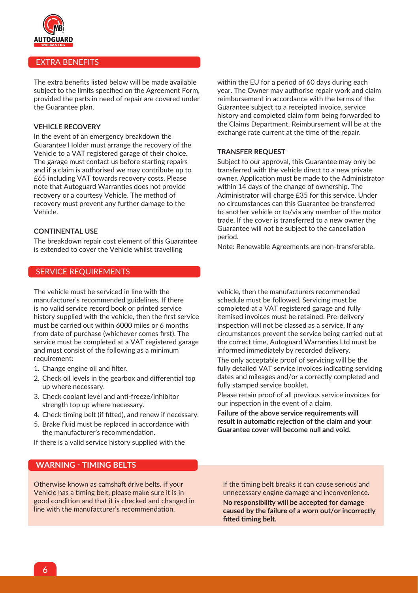

#### EXTRA BENEFITS

The extra benefits listed below will be made available subject to the limits specified on the Agreement Form, provided the parts in need of repair are covered under the Guarantee plan.

#### **VEHICLE RECOVERY**

In the event of an emergency breakdown the Guarantee Holder must arrange the recovery of the Vehicle to a VAT registered garage of their choice. The garage must contact us before starting repairs and if a claim is authorised we may contribute up to £65 including VAT towards recovery costs. Please note that Autoguard Warranties does not provide recovery or a courtesy Vehicle. The method of recovery must prevent any further damage to the Vehicle.

#### **CONTINENTAL USE**

The breakdown repair cost element of this Guarantee is extended to cover the Vehicle whilst travelling

#### SERVICE REQUIREMENTS

The vehicle must be serviced in line with the manufacturer's recommended guidelines. If there is no valid service record book or printed service history supplied with the vehicle, then the first service must be carried out within 6000 miles or 6 months from date of purchase (whichever comes first). The service must be completed at a VAT registered garage and must consist of the following as a minimum requirement:

- 1. Change engine oil and filter.
- 2. Check oil levels in the gearbox and differential top up where necessary.
- 3. Check coolant level and anti-freeze/inhibitor strength top up where necessary.
- 4. Check timing belt (if fitted), and renew if necessary.
- 5. Brake fluid must be replaced in accordance with the manufacturer's recommendation.
- If there is a valid service history supplied with the

#### **WARNING - TIMING BELTS**

Otherwise known as camshaft drive belts. If your Vehicle has a timing belt, please make sure it is in good condition and that it is checked and changed in line with the manufacturer's recommendation.

within the EU for a period of 60 days during each year. The Owner may authorise repair work and claim reimbursement in accordance with the terms of the Guarantee subject to a receipted invoice, service history and completed claim form being forwarded to the Claims Department. Reimbursement will be at the exchange rate current at the time of the repair.

#### **TRANSFER REQUEST**

Subject to our approval, this Guarantee may only be transferred with the vehicle direct to a new private owner. Application must be made to the Administrator within 14 days of the change of ownership. The Administrator will charge £35 for this service. Under no circumstances can this Guarantee be transferred to another vehicle or to/via any member of the motor trade. If the cover is transferred to a new owner the Guarantee will not be subject to the cancellation period.

Note: Renewable Agreements are non-transferable.

vehicle, then the manufacturers recommended schedule must be followed. Servicing must be completed at a VAT registered garage and fully itemised invoices must be retained. Pre-delivery inspection will not be classed as a service. If any circumstances prevent the service being carried out at the correct time, Autoguard Warranties Ltd must be informed immediately by recorded delivery.

The only acceptable proof of servicing will be the fully detailed VAT service invoices indicating servicing dates and mileages and/or a correctly completed and fully stamped service booklet.

Please retain proof of all previous service invoices for our inspection in the event of a claim.

**Failure of the above service requirements will result in automatic rejection of the claim and your Guarantee cover will become null and void.**

If the timing belt breaks it can cause serious and unnecessary engine damage and inconvenience. **No responsibility will be accepted for damage caused by the failure of a worn out/or incorrectly fitted timing belt.**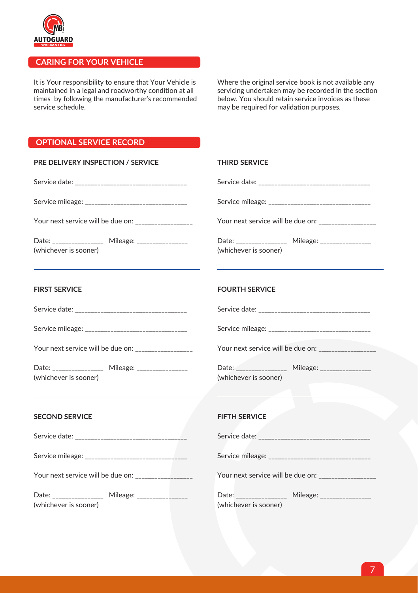

#### **CARING FOR YOUR VEHICLE**

It is Your responsibility to ensure that Your Vehicle is maintained in a legal and roadworthy condition at all times by following the manufacturer's recommended service schedule.

Where the original service book is not available any servicing undertaken may be recorded in the section below. You should retain service invoices as these may be required for validation purposes.

#### **OPTIONAL SERVICE RECORD**

| PRE DELIVERY INSPECTION / SERVICE                                       | <b>THIRD SERVICE</b>                                                                                                                                       |  |
|-------------------------------------------------------------------------|------------------------------------------------------------------------------------------------------------------------------------------------------------|--|
|                                                                         |                                                                                                                                                            |  |
|                                                                         |                                                                                                                                                            |  |
| Your next service will be due on: _________________                     | Your next service will be due on: ________________                                                                                                         |  |
| Date: _______________ Mileage: _______________<br>(whichever is sooner) | Date: _______________ Mileage: _______________<br>(whichever is sooner)                                                                                    |  |
| <b>FIRST SERVICE</b>                                                    | <b>FOURTH SERVICE</b>                                                                                                                                      |  |
|                                                                         |                                                                                                                                                            |  |
|                                                                         | Service mileage: __________________________________                                                                                                        |  |
| Your next service will be due on: ________________                      | Your next service will be due on: _______________                                                                                                          |  |
| Date: _______________ Mileage: _______________<br>(whichever is sooner) | Date: _______________ Mileage: _______________<br>(whichever is sooner)<br>the contract of the contract of the contract of the contract of the contract of |  |
| <b>SECOND SERVICE</b>                                                   | <b>FIFTH SERVICE</b>                                                                                                                                       |  |
|                                                                         |                                                                                                                                                            |  |
|                                                                         |                                                                                                                                                            |  |
| Your next service will be due on:                                       | Your next service will be due on:                                                                                                                          |  |

Date: \_\_\_\_\_\_\_\_\_\_\_\_\_\_\_\_\_\_\_\_\_ Mileage: \_\_\_\_ (whichever is sooner)

| Service mileage: _________________________        |                                                   |
|---------------------------------------------------|---------------------------------------------------|
|                                                   | Your next service will be due on: _______________ |
| Date: <b>Date: Date:</b><br>(whichever is sooner) | Mileage: _______________                          |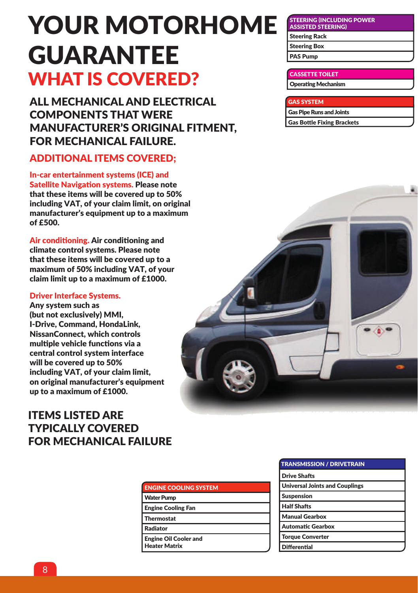## YOUR MOTORHOME GUARANTEE WHAT IS COVERED?

ALL MECHANICAL AND ELECTRICAL COMPONENTS THAT WERE MANUFACTURER'S ORIGINAL FITMENT, FOR MECHANICAL FAILURE.

## ADDITIONAL ITEMS COVERED;

In-car entertainment systems (ICE) and Satellite Navigation systems. Please note that these items will be covered up to 50% including VAT, of your claim limit, on original manufacturer's equipment up to a maximum of £500.

Air conditioning. Air conditioning and climate control systems. Please note that these items will be covered up to a maximum of 50% including VAT, of your claim limit up to a maximum of £1000.

#### Driver Interface Systems.

Any system such as (but not exclusively) MMI, I-Drive, Command, HondaLink, NissanConnect, which controls multiple vehicle functions via a central control system interface will be covered up to 50% including VAT, of your claim limit, on original manufacturer's equipment up to a maximum of £1000.

## ITEMS LISTED ARE TYPICALLY COVERED FOR MECHANICAL FAILURE

| <b>ENGINE COOLING SYSTEM</b>                         |
|------------------------------------------------------|
| <b>Water Pump</b>                                    |
| <b>Engine Cooling Fan</b>                            |
| <b>Thermostat</b>                                    |
| <b>Radiator</b>                                      |
| <b>Engine Oil Cooler and</b><br><b>Heater Matrix</b> |
|                                                      |

| <b>TRANSMISSION / DRIVETRAIN</b>      |  |
|---------------------------------------|--|
| <b>Drive Shafts</b>                   |  |
| <b>Universal Joints and Couplings</b> |  |
| <b>Suspension</b>                     |  |
| <b>Half Shafts</b>                    |  |
| <b>Manual Gearbox</b>                 |  |
| <b>Automatic Gearbox</b>              |  |
| <b>Torque Converter</b>               |  |
| Differential                          |  |

STEERING (INCLUDING POWER ASSISTED STEERING) Steering Rack Steering Box PAS Pump

#### CASSETTE TOILET Operating Mechanism

GAS SYSTEM Gas Pipe Runs and Joints Gas Bottle Fixing Brackets

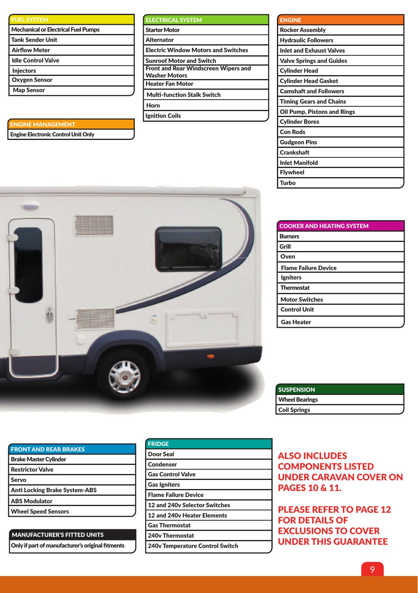| <b>FUEL SYSTEM</b>                         |
|--------------------------------------------|
| <b>Mechanical or Electrical Fuel Pumps</b> |
| <b>Tank Sender Unit</b>                    |
| <b>Airflow Meter</b>                       |
| <b>Idle Control Valve</b>                  |
| <b>Injectors</b>                           |
| <b>Oxygen Sensor</b>                       |
| <b>Map Sensor</b>                          |

#### ENGINE MANAGEMENT

Engine Electronic Control Unit Only

| <b>ELECTRICAL SYSTEM</b>                    |
|---------------------------------------------|
| <b>Starter Motor</b>                        |
| <b>Alternator</b>                           |
| <b>Electric Window Motors and Switches</b>  |
| <b>Sunroof Motor and Switch</b>             |
| <b>Front and Rear Windscreen Wipers and</b> |
| Washer Motors                               |
| <b>Heater Fan Motor</b>                     |
| <b>Multi-function Stalk Switch</b>          |
| Horn                                        |
| Ignition Coils                              |
|                                             |

| <b>ENGINE</b>                   |
|---------------------------------|
| <b>Rocker Assembly</b>          |
| <b>Hydraulic Followers</b>      |
| <b>Inlet and Exhaust Valves</b> |
| <b>Valve Springs and Guides</b> |
| <b>Cylinder Head</b>            |
| <b>Cylinder Head Gasket</b>     |
| <b>Camshaft and Followers</b>   |
| <b>Timing Gears and Chains</b>  |
| Oil Pump, Pistons and Rings     |
| <b>Cylinder Bores</b>           |
| <b>Con Rods</b>                 |
| <b>Gudgeon Pins</b>             |
| <b>Crankshaft</b>               |
| <b>Inlet Manifold</b>           |
| <b>Flywheel</b>                 |
| Turbo                           |



| <b>COOKER AND HEATING SYSTEM</b> |
|----------------------------------|
| <b>Burners</b>                   |
| Grill                            |
| Oven                             |
| <b>Flame Failure Device</b>      |
| <b>lgniters</b>                  |
| Thermostat                       |
| <b>Motor Switches</b>            |
| <b>Control Unit</b>              |
| <b>Gas Heater</b>                |

| <b>SUSPENSION</b>     |  |
|-----------------------|--|
| <b>Wheel Bearings</b> |  |
| <b>Coil Springs</b>   |  |

## ALSO INCLUDES COMPONENTS LISTED UNDER CARAVAN COVER ON PAGES 10 & 11.

PLEASE REFER TO PAGE 12 FOR DETAILS OF EXCLUSIONS TO COVER UNDER THIS GUARANTEE

## FRONT AND REAR BRAKES

Brake Master Cylinder

Restrictor Valve

Servo

- Anti Locking Brake System-ABS
- ABS Modulator
- Wheel Speed Sensors

#### MANUFACTURER'S FITTED UNITS

Only if part of manufacturer's original fitments

| <b>FRIDGE</b>                   |
|---------------------------------|
| Door Seal                       |
| <b>Condenser</b>                |
| <b>Gas Control Valve</b>        |
| <b>Gas Igniters</b>             |
| <b>Flame Failure Device</b>     |
| 12 and 240y Selector Switches   |
| 12 and 240v Heater Elements     |
| <b>Gas Thermostat</b>           |
| 240v Thermostat                 |
| 240v Temperature Control Switch |
|                                 |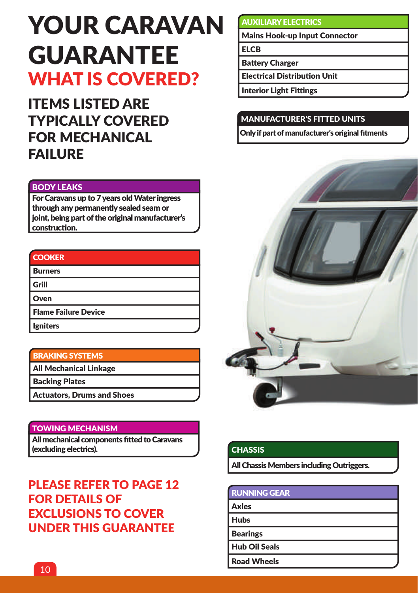## YOUR CARAVAN GUARANTEE WHAT IS COVERED?

ITEMS LISTED ARE TYPICALLY COVERED FOR MECHANICAL FAILURE

#### BODY LEAKS

For Caravans up to 7 years old Water ingress through any permanently sealed seam or joint, being part of the original manufacturer's construction.

| <b>Service Service</b>                                                                                                                                                                                                           | <b>Contract Contract Contract Contract Contract Contract Contract Contract Contract Contract Contract Contract C</b> |                                                |
|----------------------------------------------------------------------------------------------------------------------------------------------------------------------------------------------------------------------------------|----------------------------------------------------------------------------------------------------------------------|------------------------------------------------|
|                                                                                                                                                                                                                                  |                                                                                                                      |                                                |
|                                                                                                                                                                                                                                  |                                                                                                                      |                                                |
| and the state of the state of the state of the state of the state of the state of the state of the state of th<br>and the state of the state of the state of the state of the state of the state of the state of the state of th | $\mathcal{L}(\mathcal{L})$                                                                                           | <b>Service Service Service Service Service</b> |

| l Burners            |  |
|----------------------|--|
| l Grill              |  |
| l Oven               |  |
| Flame Failure Device |  |
| Igniters             |  |

#### BRAKING SYSTEMS

All Mechanical Linkage

Backing Plates

Actuators, Drums and Shoes

#### TOWING MECHANISM

All mechanical components fitted to Caravans (excluding electrics).

## PLEASE REFER TO PAGE 12 FOR DETAILS OF EXCLUSIONS TO COVER UNDER THIS GUARANTEE

#### AUXILIARY ELECTRICS

Mains Hook-up Input Connector

**FLCB** 

Battery Charger

Electrical Distribution Unit

Interior Light Fittings

## MANUFACTURER'S FITTED UNITS

Only if part of manufacturer's original fitments



### **CHASSIS**

All Chassis Members including Outriggers.

| <b>RUNNING GEAR</b>  |  |
|----------------------|--|
| Axles                |  |
| <b>Hubs</b>          |  |
| <b>Bearings</b>      |  |
| <b>Hub Oil Seals</b> |  |
| <b>Road Wheels</b>   |  |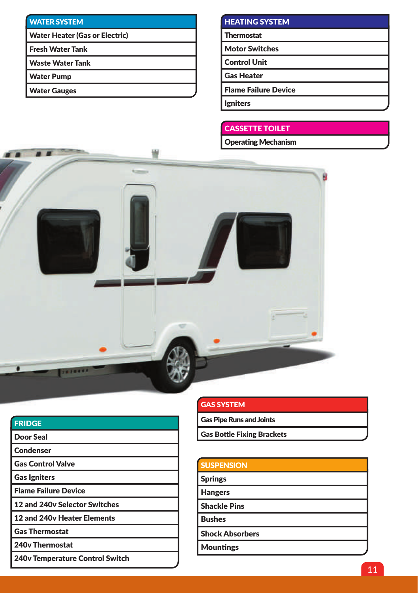## WATER SYSTEM

Water Heater (Gas or Electric)

Fresh Water Tank

Waste Water Tank

Water Pump

Water Gauges

## HEATING SYSTEM

**Thermostat** 

Motor Switches

Control Unit

Gas Heater

Flame Failure Device

Igniters

### CASSETTE TOILET

Operating Mechanism



| <b>FRIDGE</b>                          |
|----------------------------------------|
| Door Seal                              |
| <b>Condenser</b>                       |
| <b>Gas Control Valve</b>               |
| <b>Gas Igniters</b>                    |
| <b>Flame Failure Device</b>            |
| 12 and 240y Selector Switches          |
| <b>12 and 240v Heater Elements</b>     |
| <b>Gas Thermostat</b>                  |
| 240v Thermostat                        |
| <b>240v Temperature Control Switch</b> |

| <b>GAS SYSTEM</b>                 |  |
|-----------------------------------|--|
| <b>Gas Pipe Runs and Joints</b>   |  |
| <b>Gas Bottle Fixing Brackets</b> |  |

| <b>SUSPENSION</b>      |  |
|------------------------|--|
| <b>Springs</b>         |  |
| <b>Hangers</b>         |  |
| <b>Shackle Pins</b>    |  |
| <b>Bushes</b>          |  |
| <b>Shock Absorbers</b> |  |
| <b>Mountings</b>       |  |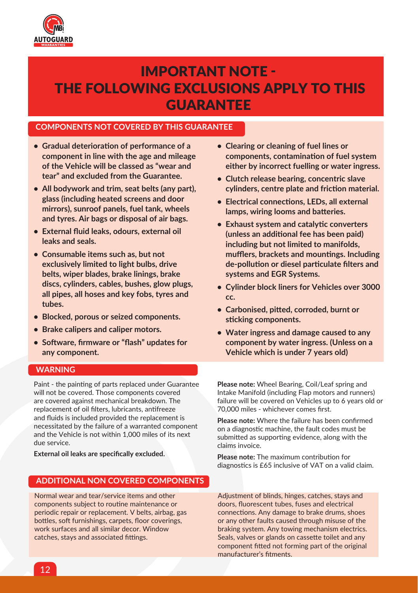

## IMPORTANT NOTE - THE FOLLOWING EXCLUSIONS APPLY TO THIS GUARANTEE

#### **COMPONENTS NOT COVERED BY THIS GUARANTEE**

- **• Gradual deterioration of performance of a component in line with the age and mileage of the Vehicle will be classed as "wear and tear" and excluded from the Guarantee.**
- **• All bodywork and trim, seat belts (any part), glass (including heated screens and door mirrors), sunroof panels, fuel tank, wheels and tyres. Air bags or disposal of air bags.**
- **• External fluid leaks, odours, external oil leaks and seals.**
- **• Consumable items such as, but not exclusively limited to light bulbs, drive belts, wiper blades, brake linings, brake discs, cylinders, cables, bushes, glow plugs, all pipes, all hoses and key fobs, tyres and tubes.**
- **• Blocked, porous or seized components.**
- **• Brake calipers and caliper motors.**
- **• Software, firmware or "flash" updates for any component.**

#### **WARNING**

Paint - the painting of parts replaced under Guarantee will not be covered. Those components covered are covered against mechanical breakdown. The replacement of oil filters, lubricants, antifreeze and fluids is included provided the replacement is necessitated by the failure of a warranted component and the Vehicle is not within 1,000 miles of its next due service.

**External oil leaks are specifically excluded.**

#### **ADDITIONAL NON COVERED COMPONENTS**

Normal wear and tear/service items and other components subject to routine maintenance or periodic repair or replacement. V belts, airbag, gas bottles, soft furnishings, carpets, floor coverings, work surfaces and all similar decor. Window catches, stays and associated fittings.

- **• Clearing or cleaning of fuel lines or components, contamination of fuel system either by incorrect fuelling or water ingress.**
- **• Clutch release bearing, concentric slave cylinders, centre plate and friction material.**
- **• Electrical connections, LEDs, all external lamps, wiring looms and batteries.**
- **• Exhaust system and catalytic converters (unless an additional fee has been paid) including but not limited to manifolds, mufflers, brackets and mountings. Including de-pollution or diesel particulate filters and systems and EGR Systems.**
- **• Cylinder block liners for Vehicles over 3000 cc.**
- **• Carbonised, pitted, corroded, burnt or sticking components.**
- **• Water ingress and damage caused to any component by water ingress. (Unless on a Vehicle which is under 7 years old)**

**Please note:** Wheel Bearing, Coil/Leaf spring and Intake Manifold (including Flap motors and runners) failure will be covered on Vehicles up to 6 years old or 70,000 miles - whichever comes first.

**Please note:** Where the failure has been confirmed on a diagnostic machine, the fault codes must be submitted as supporting evidence, along with the claims invoice.

**Please note:** The maximum contribution for diagnostics is £65 inclusive of VAT on a valid claim.

Adjustment of blinds, hinges, catches, stays and doors, fluorescent tubes, fuses and electrical connections. Any damage to brake drums, shoes or any other faults caused through misuse of the braking system. Any towing mechanism electrics. Seals, valves or glands on cassette toilet and any component fitted not forming part of the original manufacturer's fitments.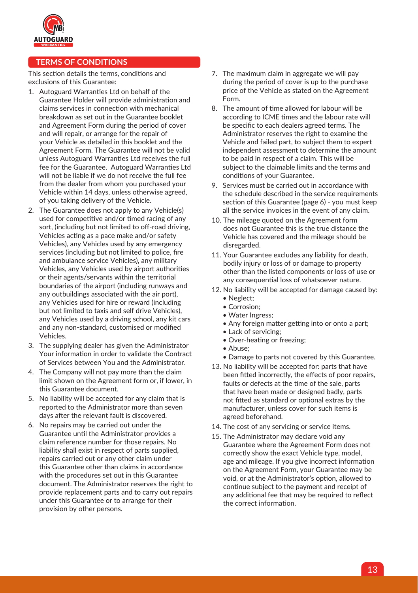

#### **TERMS OF CONDITIONS**

This section details the terms, conditions and exclusions of this Guarantee:

- 1. Autoguard Warranties Ltd on behalf of the Guarantee Holder will provide administration and claims services in connection with mechanical breakdown as set out in the Guarantee booklet and Agreement Form during the period of cover and will repair, or arrange for the repair of your Vehicle as detailed in this booklet and the Agreement Form. The Guarantee will not be valid unless Autoguard Warranties Ltd receives the full fee for the Guarantee. Autoguard Warranties Ltd will not be liable if we do not receive the full fee from the dealer from whom you purchased your Vehicle within 14 days, unless otherwise agreed, of you taking delivery of the Vehicle.
- 2. The Guarantee does not apply to any Vehicle(s) used for competitive and/or timed racing of any sort, (including but not limited to off-road driving, Vehicles acting as a pace make and/or safety Vehicles), any Vehicles used by any emergency services (including but not limited to police, fire and ambulance service Vehicles), any military Vehicles, any Vehicles used by airport authorities or their agents/servants within the territorial boundaries of the airport (including runways and any outbuildings associated with the air port), any Vehicles used for hire or reward (including but not limited to taxis and self drive Vehicles), any Vehicles used by a driving school, any kit cars and any non-standard, customised or modified Vehicles.
- 3. The supplying dealer has given the Administrator Your information in order to validate the Contract of Services between You and the Administrator.
- 4. The Company will not pay more than the claim limit shown on the Agreement form or, if lower, in this Guarantee document.
- 5. No liability will be accepted for any claim that is reported to the Administrator more than seven days after the relevant fault is discovered.
- 6. No repairs may be carried out under the Guarantee until the Administrator provides a claim reference number for those repairs. No liability shall exist in respect of parts supplied, repairs carried out or any other claim under this Guarantee other than claims in accordance with the procedures set out in this Guarantee document. The Administrator reserves the right to provide replacement parts and to carry out repairs under this Guarantee or to arrange for their provision by other persons.
- 7. The maximum claim in aggregate we will pay during the period of cover is up to the purchase price of the Vehicle as stated on the Agreement Form.
- 8. The amount of time allowed for labour will be according to ICME times and the labour rate will be specific to each dealers agreed terms. The Administrator reserves the right to examine the Vehicle and failed part, to subject them to expert independent assessment to determine the amount to be paid in respect of a claim. This will be subject to the claimable limits and the terms and conditions of your Guarantee.
- 9. Services must be carried out in accordance with the schedule described in the service requirements section of this Guarantee (page 6) - you must keep all the service invoices in the event of any claim.
- 10. The mileage quoted on the Agreement form does not Guarantee this is the true distance the Vehicle has covered and the mileage should be disregarded.
- 11. Your Guarantee excludes any liability for death, bodily injury or loss of or damage to property other than the listed components or loss of use or any consequential loss of whatsoever nature.
- 12. No liability will be accepted for damage caused by:
	- Neglect;
	- Corrosion;
	- Water Ingress;
	- Any foreign matter getting into or onto a part;
	- Lack of servicing;
	- Over-heating or freezing;
	- Abuse;
	- Damage to parts not covered by this Guarantee.
- 13. No liability will be accepted for: parts that have been fitted incorrectly, the effects of poor repairs, faults or defects at the time of the sale, parts that have been made or designed badly, parts not fitted as standard or optional extras by the manufacturer, unless cover for such items is agreed beforehand.
- 14. The cost of any servicing or service items.
- 15. The Administrator may declare void any Guarantee where the Agreement Form does not correctly show the exact Vehicle type, model, age and mileage. If you give incorrect information on the Agreement Form, your Guarantee may be void, or at the Administrator's option, allowed to continue subject to the payment and receipt of any additional fee that may be required to reflect the correct information.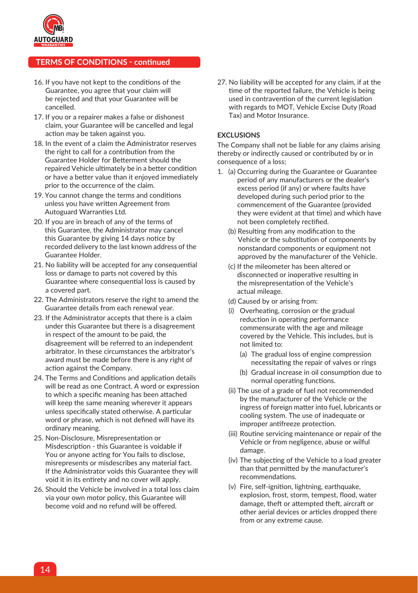

#### **TERMS OF CONDITIONS - continued**

- 16. If you have not kept to the conditions of the Guarantee, you agree that your claim will be rejected and that your Guarantee will be cancelled.
- 17. If you or a repairer makes a false or dishonest claim, your Guarantee will be cancelled and legal action may be taken against you.
- 18. In the event of a claim the Administrator reserves the right to call for a contribution from the Guarantee Holder for Betterment should the repaired Vehicle ultimately be in a better condition or have a better value than it enjoyed immediately prior to the occurrence of the claim.
- 19. You cannot change the terms and conditions unless you have written Agreement from Autoguard Warranties Ltd.
- 20. If you are in breach of any of the terms of this Guarantee, the Administrator may cancel this Guarantee by giving 14 days notice by recorded delivery to the last known address of the Guarantee Holder.
- 21. No liability will be accepted for any consequential loss or damage to parts not covered by this Guarantee where consequential loss is caused by a covered part.
- 22. The Administrators reserve the right to amend the Guarantee details from each renewal year.
- 23. If the Administrator accepts that there is a claim under this Guarantee but there is a disagreement in respect of the amount to be paid, the disagreement will be referred to an independent arbitrator. In these circumstances the arbitrator's award must be made before there is any right of action against the Company.
- 24. The Terms and Conditions and application details will be read as one Contract. A word or expression to which a specific meaning has been attached will keep the same meaning wherever it appears unless specifically stated otherwise. A particular word or phrase, which is not defined will have its ordinary meaning.
- 25. Non-Disclosure, Misrepresentation or Misdescription - this Guarantee is voidable if You or anyone acting for You fails to disclose, misrepresents or misdescribes any material fact. If the Administrator voids this Guarantee they will void it in its entirety and no cover will apply.
- 26. Should the Vehicle be involved in a total loss claim via your own motor policy, this Guarantee will become void and no refund will be offered.

27. No liability will be accepted for any claim, if at the time of the reported failure, the Vehicle is being used in contravention of the current legislation with regards to MOT, Vehicle Excise Duty (Road Tax) and Motor Insurance.

#### **EXCLUSIONS**

The Company shall not be liable for any claims arising thereby or indirectly caused or contributed by or in consequence of a loss;

- 1. (a) Occurring during the Guarantee or Guarantee period of any manufacturers or the dealer's excess period (if any) or where faults have developed during such period prior to the commencement of the Guarantee (provided they were evident at that time) and which have not been completely rectified.
	- (b) Resulting from any modification to the Vehicle or the substitution of components by nonstandard components or equipment not approved by the manufacturer of the Vehicle.
	- (c) If the mileometer has been altered or disconnected or inoperative resulting in the misrepresentation of the Vehicle's actual mileage.
	- (d) Caused by or arising from:
	- (i) Overheating, corrosion or the gradual reduction in operating performance commensurate with the age and mileage covered by the Vehicle. This includes, but is not limited to:
		- (a) The gradual loss of engine compression necessitating the repair of valves or rings
		- (b) Gradual increase in oil consumption due to normal operating functions.
	- (ii) The use of a grade of fuel not recommended by the manufacturer of the Vehicle or the ingress of foreign matter into fuel, lubricants or cooling system. The use of inadequate or improper antifreeze protection.
	- (iii) Routine servicing maintenance or repair of the Vehicle or from negligence, abuse or wilful damage.
	- (iv) The subjecting of the Vehicle to a load greater than that permitted by the manufacturer's recommendations.
	- (v) Fire, self-ignition, lightning, earthquake, explosion, frost, storm, tempest, flood, water damage, theft or attempted theft, aircraft or other aerial devices or articles dropped there from or any extreme cause.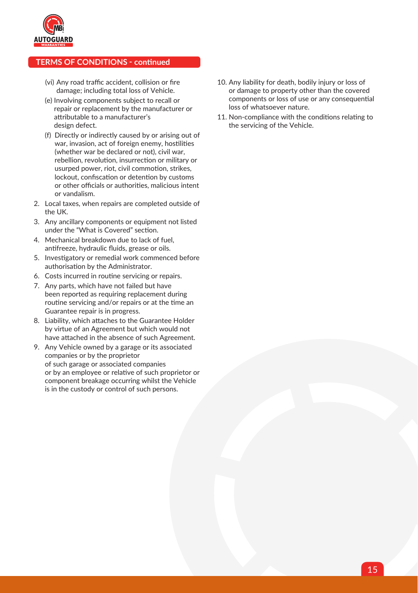

#### **TERMS OF CONDITIONS - continued**

- (vi) Any road traffic accident, collision or fire damage; including total loss of Vehicle.
- (e) Involving components subject to recall or repair or replacement by the manufacturer or attributable to a manufacturer's design defect.
- (f) Directly or indirectly caused by or arising out of war, invasion, act of foreign enemy, hostilities (whether war be declared or not), civil war, rebellion, revolution, insurrection or military or usurped power, riot, civil commotion, strikes, lockout, confiscation or detention by customs or other officials or authorities, malicious intent or vandalism.
- 2. Local taxes, when repairs are completed outside of the UK.
- 3. Any ancillary components or equipment not listed under the "What is Covered" section.
- 4. Mechanical breakdown due to lack of fuel, antifreeze, hydraulic fluids, grease or oils.
- 5. Investigatory or remedial work commenced before authorisation by the Administrator.
- 6. Costs incurred in routine servicing or repairs.
- 7. Any parts, which have not failed but have been reported as requiring replacement during routine servicing and/or repairs or at the time an Guarantee repair is in progress.
- 8. Liability, which attaches to the Guarantee Holder by virtue of an Agreement but which would not have attached in the absence of such Agreement.
- 9. Any Vehicle owned by a garage or its associated companies or by the proprietor of such garage or associated companies or by an employee or relative of such proprietor or component breakage occurring whilst the Vehicle is in the custody or control of such persons.
- 10. Any liability for death, bodily injury or loss of or damage to property other than the covered components or loss of use or any consequential loss of whatsoever nature.
- 11. Non-compliance with the conditions relating to the servicing of the Vehicle.